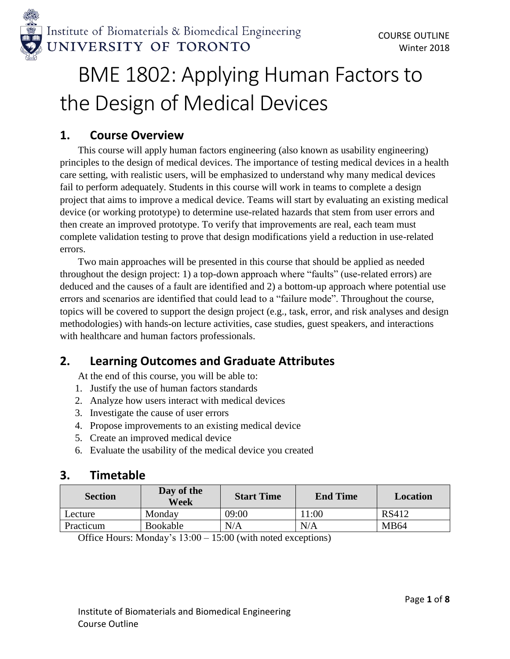

# BME 1802: Applying Human Factors to the Design of Medical Devices

## **1. Course Overview**

This course will apply human factors engineering (also known as usability engineering) principles to the design of medical devices. The importance of testing medical devices in a health care setting, with realistic users, will be emphasized to understand why many medical devices fail to perform adequately. Students in this course will work in teams to complete a design project that aims to improve a medical device. Teams will start by evaluating an existing medical device (or working prototype) to determine use-related hazards that stem from user errors and then create an improved prototype. To verify that improvements are real, each team must complete validation testing to prove that design modifications yield a reduction in use-related errors.

Two main approaches will be presented in this course that should be applied as needed throughout the design project: 1) a top-down approach where "faults" (use-related errors) are deduced and the causes of a fault are identified and 2) a bottom-up approach where potential use errors and scenarios are identified that could lead to a "failure mode". Throughout the course, topics will be covered to support the design project (e.g., task, error, and risk analyses and design methodologies) with hands-on lecture activities, case studies, guest speakers, and interactions with healthcare and human factors professionals.

## **2. Learning Outcomes and Graduate Attributes**

At the end of this course, you will be able to:

- 1. Justify the use of human factors standards
- 2. Analyze how users interact with medical devices
- 3. Investigate the cause of user errors
- 4. Propose improvements to an existing medical device
- 5. Create an improved medical device
- 6. Evaluate the usability of the medical device you created

## **3. Timetable**

| <b>Section</b> | Day of the<br>Week | <b>Start Time</b> | <b>End Time</b> | Location     |
|----------------|--------------------|-------------------|-----------------|--------------|
| Lecture        | Monday             | 09:00             | l 1:00          | <b>RS412</b> |
| Practicum      | Bookable           | N/A               | N/A             | <b>MB64</b>  |

Office Hours: Monday's 13:00 – 15:00 (with noted exceptions)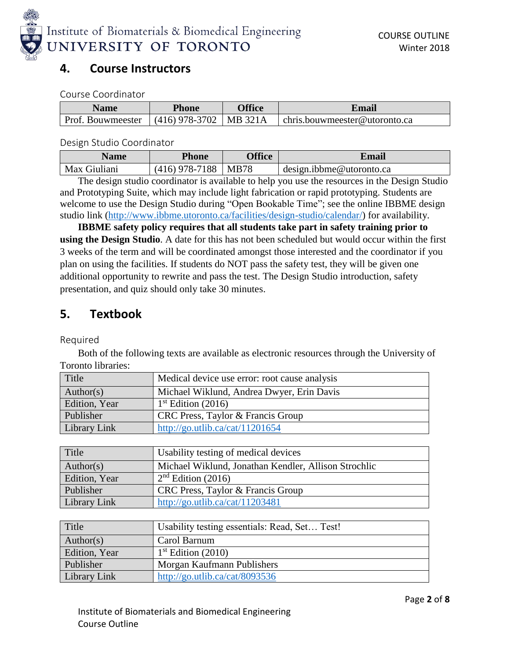

## **4. Course Instructors**

Course Coordinator

| <b>Name</b>                                  | <b>Phone</b> | <b>Office</b> | Email                         |
|----------------------------------------------|--------------|---------------|-------------------------------|
| Prof. Bouwmeester $(416)$ 978-3702   MB 321A |              |               | chris.bouwmeester@utoronto.ca |

Design Studio Coordinator

| <b>Name</b>  | Phone            | <b>Office</b> | Email                    |
|--------------|------------------|---------------|--------------------------|
| Max Giuliani | $(416)$ 978-7188 | MB78          | design.ibbme@utoronto.ca |

The design studio coordinator is available to help you use the resources in the Design Studio and Prototyping Suite, which may include light fabrication or rapid prototyping. Students are welcome to use the Design Studio during "Open Bookable Time"; see the online IBBME design studio link [\(http://www.ibbme.utoronto.ca/facilities/design-studio/calendar/\)](http://www.ibbme.utoronto.ca/facilities/design-studio/calendar/) for availability.

**IBBME safety policy requires that all students take part in safety training prior to using the Design Studio**. A date for this has not been scheduled but would occur within the first 3 weeks of the term and will be coordinated amongst those interested and the coordinator if you plan on using the facilities. If students do NOT pass the safety test, they will be given one additional opportunity to rewrite and pass the test. The Design Studio introduction, safety presentation, and quiz should only take 30 minutes.

## **5. Textbook**

Required

Both of the following texts are available as electronic resources through the University of Toronto libraries:

| Title         | Medical device use error: root cause analysis |
|---------------|-----------------------------------------------|
| Author(s)     | Michael Wiklund, Andrea Dwyer, Erin Davis     |
| Edition, Year | $1st$ Edition (2016)                          |
| Publisher     | CRC Press, Taylor & Francis Group             |
| Library Link  | http://go.utlib.ca/cat/11201654               |

| Title         | Usability testing of medical devices                 |
|---------------|------------------------------------------------------|
| Author(s)     | Michael Wiklund, Jonathan Kendler, Allison Strochlic |
| Edition, Year | $2nd$ Edition (2016)                                 |
| Publisher     | CRC Press, Taylor & Francis Group                    |
| Library Link  | http://go.utlib.ca/cat/11203481                      |

| Title         | Usability testing essentials: Read, Set Test! |
|---------------|-----------------------------------------------|
| Author(s)     | Carol Barnum                                  |
| Edition, Year | $1st$ Edition (2010)                          |
| Publisher     | Morgan Kaufmann Publishers                    |
| Library Link  | http://go.utlib.ca/cat/8093536                |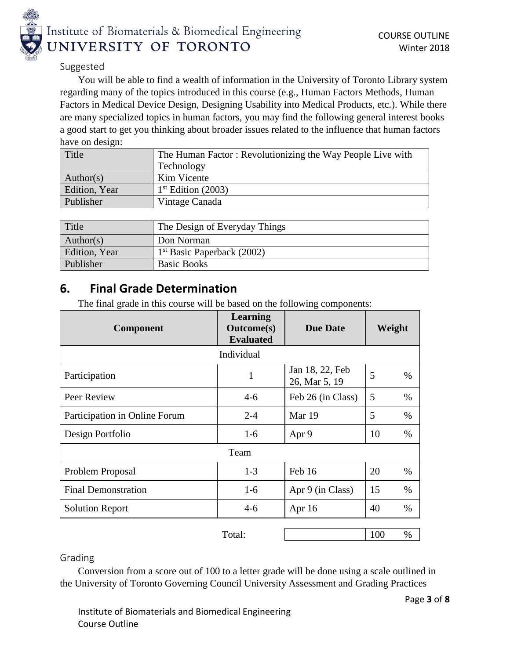

#### Suggested

You will be able to find a wealth of information in the University of Toronto Library system regarding many of the topics introduced in this course (e.g., Human Factors Methods, Human Factors in Medical Device Design, Designing Usability into Medical Products, etc.). While there are many specialized topics in human factors, you may find the following general interest books a good start to get you thinking about broader issues related to the influence that human factors have on design:

| Title         | The Human Factor: Revolutionizing the Way People Live with |
|---------------|------------------------------------------------------------|
|               | Technology                                                 |
| Author(s)     | Kim Vicente                                                |
| Edition, Year | $1st$ Edition (2003)                                       |
| Publisher     | Vintage Canada                                             |

| Title         | The Design of Everyday Things |
|---------------|-------------------------------|
| Author(s)     | Don Norman                    |
| Edition, Year | $1st$ Basic Paperback (2002)  |
| Publisher     | <b>Basic Books</b>            |

## **6. Final Grade Determination**

The final grade in this course will be based on the following components:

| Component                     | Learning<br><b>Outcome(s)</b><br><b>Evaluated</b> | <b>Due Date</b>                  | Weight     |  |
|-------------------------------|---------------------------------------------------|----------------------------------|------------|--|
|                               | Individual                                        |                                  |            |  |
| Participation                 | 1                                                 | Jan 18, 22, Feb<br>26, Mar 5, 19 | 5<br>$\%$  |  |
| Peer Review                   | $4-6$                                             | Feb 26 (in Class)                | 5<br>$\%$  |  |
| Participation in Online Forum | $2 - 4$                                           | Mar 19                           | 5<br>$\%$  |  |
| Design Portfolio              | $1-6$                                             | Apr 9                            | 10<br>$\%$ |  |
| Team                          |                                                   |                                  |            |  |
| Problem Proposal              | $1 - 3$                                           | Feb 16                           | 20<br>$\%$ |  |
| <b>Final Demonstration</b>    | $1-6$                                             | Apr 9 (in Class)                 | 15<br>$\%$ |  |
| <b>Solution Report</b>        | $4-6$                                             | Apr $16$                         | 40<br>$\%$ |  |
|                               |                                                   |                                  |            |  |

Total: 100 %

Grading

Conversion from a score out of 100 to a letter grade will be done using a scale outlined in the University of Toronto Governing Council University Assessment and Grading Practices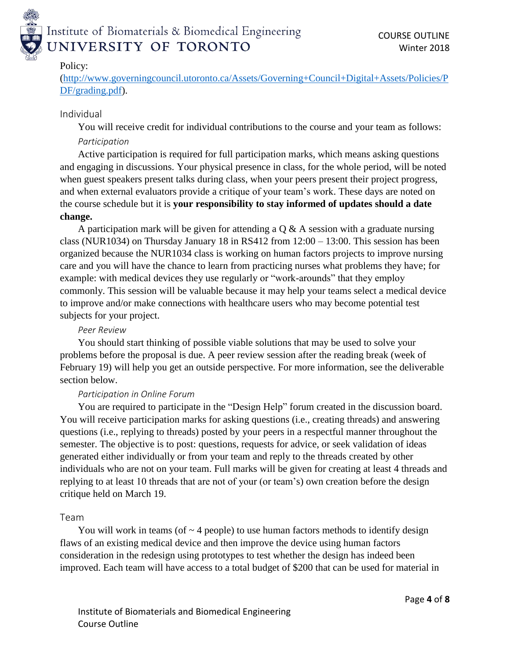

### Policy:

[\(http://www.governingcouncil.utoronto.ca/Assets/Governing+Council+Digital+Assets/Policies/P](http://www.governingcouncil.utoronto.ca/Assets/Governing+Council+Digital+Assets/Policies/PDF/grading.pdf) [DF/grading.pdf\)](http://www.governingcouncil.utoronto.ca/Assets/Governing+Council+Digital+Assets/Policies/PDF/grading.pdf).

## Individual

You will receive credit for individual contributions to the course and your team as follows:

## *Participation*

Active participation is required for full participation marks, which means asking questions and engaging in discussions. Your physical presence in class, for the whole period, will be noted when guest speakers present talks during class, when your peers present their project progress, and when external evaluators provide a critique of your team's work. These days are noted on the course schedule but it is **your responsibility to stay informed of updates should a date change.**

A participation mark will be given for attending a  $Q & A$  session with a graduate nursing class (NUR1034) on Thursday January 18 in RS412 from 12:00 – 13:00. This session has been organized because the NUR1034 class is working on human factors projects to improve nursing care and you will have the chance to learn from practicing nurses what problems they have; for example: with medical devices they use regularly or "work-arounds" that they employ commonly. This session will be valuable because it may help your teams select a medical device to improve and/or make connections with healthcare users who may become potential test subjects for your project.

## *Peer Review*

You should start thinking of possible viable solutions that may be used to solve your problems before the proposal is due. A peer review session after the reading break (week of February 19) will help you get an outside perspective. For more information, see the deliverable section below.

## *Participation in Online Forum*

You are required to participate in the "Design Help" forum created in the discussion board. You will receive participation marks for asking questions (i.e., creating threads) and answering questions (i.e., replying to threads) posted by your peers in a respectful manner throughout the semester. The objective is to post: questions, requests for advice, or seek validation of ideas generated either individually or from your team and reply to the threads created by other individuals who are not on your team. Full marks will be given for creating at least 4 threads and replying to at least 10 threads that are not of your (or team's) own creation before the design critique held on March 19.

## Team

You will work in teams (of  $\sim$  4 people) to use human factors methods to identify design flaws of an existing medical device and then improve the device using human factors consideration in the redesign using prototypes to test whether the design has indeed been improved. Each team will have access to a total budget of \$200 that can be used for material in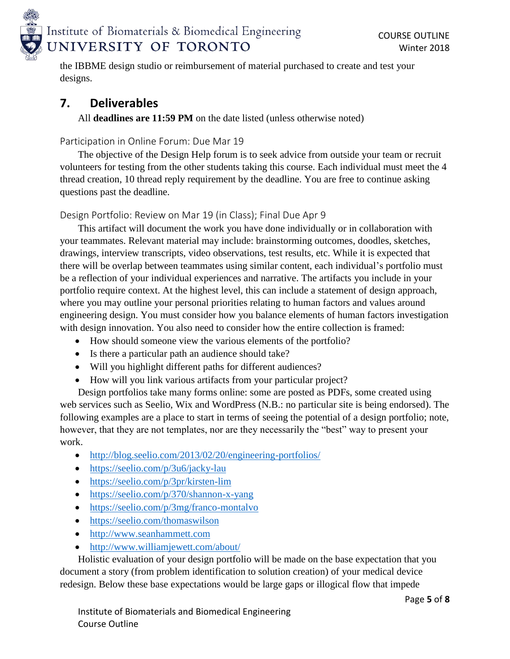

the IBBME design studio or reimbursement of material purchased to create and test your designs.

## **7. Deliverables**

All **deadlines are 11:59 PM** on the date listed (unless otherwise noted)

Participation in Online Forum: Due Mar 19

The objective of the Design Help forum is to seek advice from outside your team or recruit volunteers for testing from the other students taking this course. Each individual must meet the 4 thread creation, 10 thread reply requirement by the deadline. You are free to continue asking questions past the deadline.

Design Portfolio: Review on Mar 19 (in Class); Final Due Apr 9

This artifact will document the work you have done individually or in collaboration with your teammates. Relevant material may include: brainstorming outcomes, doodles, sketches, drawings, interview transcripts, video observations, test results, etc. While it is expected that there will be overlap between teammates using similar content, each individual's portfolio must be a reflection of your individual experiences and narrative. The artifacts you include in your portfolio require context. At the highest level, this can include a statement of design approach, where you may outline your personal priorities relating to human factors and values around engineering design. You must consider how you balance elements of human factors investigation with design innovation. You also need to consider how the entire collection is framed:

- How should someone view the various elements of the portfolio?
- Is there a particular path an audience should take?
- Will you highlight different paths for different audiences?
- How will you link various artifacts from your particular project?

Design portfolios take many forms online: some are posted as PDFs, some created using web services such as Seelio, Wix and WordPress (N.B.: no particular site is being endorsed). The following examples are a place to start in terms of seeing the potential of a design portfolio; note, however, that they are not templates, nor are they necessarily the "best" way to present your work.

- <http://blog.seelio.com/2013/02/20/engineering-portfolios/>
- <https://seelio.com/p/3u6/jacky-lau>
- <https://seelio.com/p/3pr/kirsten-lim>
- <https://seelio.com/p/370/shannon-x-yang>
- <https://seelio.com/p/3mg/franco-montalvo>
- <https://seelio.com/thomaswilson>
- [http://www.seanhammett.com](http://www.seanhammett.com/)
- <http://www.williamjewett.com/about/>

Holistic evaluation of your design portfolio will be made on the base expectation that you document a story (from problem identification to solution creation) of your medical device redesign. Below these base expectations would be large gaps or illogical flow that impede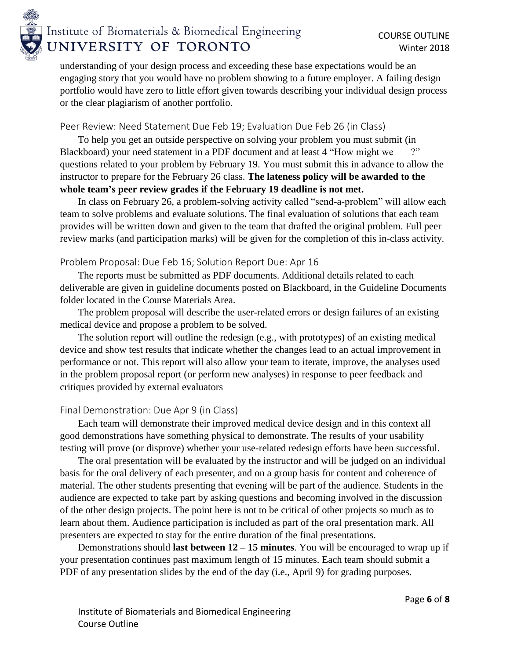

understanding of your design process and exceeding these base expectations would be an engaging story that you would have no problem showing to a future employer. A failing design portfolio would have zero to little effort given towards describing your individual design process or the clear plagiarism of another portfolio.

### Peer Review: Need Statement Due Feb 19; Evaluation Due Feb 26 (in Class)

To help you get an outside perspective on solving your problem you must submit (in Blackboard) your need statement in a PDF document and at least 4 "How might we ?" questions related to your problem by February 19. You must submit this in advance to allow the instructor to prepare for the February 26 class. **The lateness policy will be awarded to the whole team's peer review grades if the February 19 deadline is not met.**

In class on February 26, a problem-solving activity called "send-a-problem" will allow each team to solve problems and evaluate solutions. The final evaluation of solutions that each team provides will be written down and given to the team that drafted the original problem. Full peer review marks (and participation marks) will be given for the completion of this in-class activity.

#### Problem Proposal: Due Feb 16; Solution Report Due: Apr 16

The reports must be submitted as PDF documents. Additional details related to each deliverable are given in guideline documents posted on Blackboard, in the Guideline Documents folder located in the Course Materials Area.

The problem proposal will describe the user-related errors or design failures of an existing medical device and propose a problem to be solved.

The solution report will outline the redesign (e.g., with prototypes) of an existing medical device and show test results that indicate whether the changes lead to an actual improvement in performance or not. This report will also allow your team to iterate, improve, the analyses used in the problem proposal report (or perform new analyses) in response to peer feedback and critiques provided by external evaluators

## Final Demonstration: Due Apr 9 (in Class)

Each team will demonstrate their improved medical device design and in this context all good demonstrations have something physical to demonstrate. The results of your usability testing will prove (or disprove) whether your use-related redesign efforts have been successful.

The oral presentation will be evaluated by the instructor and will be judged on an individual basis for the oral delivery of each presenter, and on a group basis for content and coherence of material. The other students presenting that evening will be part of the audience. Students in the audience are expected to take part by asking questions and becoming involved in the discussion of the other design projects. The point here is not to be critical of other projects so much as to learn about them. Audience participation is included as part of the oral presentation mark. All presenters are expected to stay for the entire duration of the final presentations.

Demonstrations should **last between 12 – 15 minutes**. You will be encouraged to wrap up if your presentation continues past maximum length of 15 minutes. Each team should submit a PDF of any presentation slides by the end of the day (i.e., April 9) for grading purposes.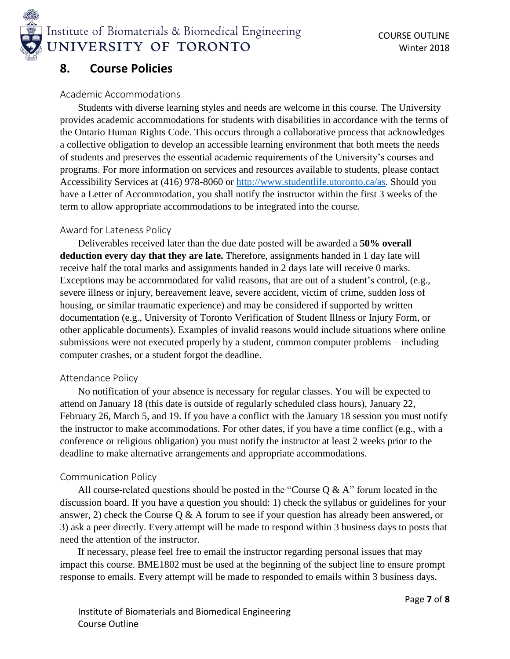

## **8. Course Policies**

#### Academic Accommodations

Students with diverse learning styles and needs are welcome in this course. The University provides academic accommodations for students with disabilities in accordance with the terms of the Ontario Human Rights Code. This occurs through a collaborative process that acknowledges a collective obligation to develop an accessible learning environment that both meets the needs of students and preserves the essential academic requirements of the University's courses and programs. For more information on services and resources available to students, please contact Accessibility Services at (416) 978-8060 or [http://www.studentlife.utoronto.ca/as.](http://www.studentlife.utoronto.ca/as) Should you have a Letter of Accommodation, you shall notify the instructor within the first 3 weeks of the term to allow appropriate accommodations to be integrated into the course.

#### Award for Lateness Policy

Deliverables received later than the due date posted will be awarded a **50% overall deduction every day that they are late.** Therefore, assignments handed in 1 day late will receive half the total marks and assignments handed in 2 days late will receive 0 marks. Exceptions may be accommodated for valid reasons, that are out of a student's control, (e.g., severe illness or injury, bereavement leave, severe accident, victim of crime, sudden loss of housing, or similar traumatic experience) and may be considered if supported by written documentation (e.g., University of Toronto Verification of Student Illness or Injury Form, or other applicable documents). Examples of invalid reasons would include situations where online submissions were not executed properly by a student, common computer problems – including computer crashes, or a student forgot the deadline.

#### Attendance Policy

No notification of your absence is necessary for regular classes. You will be expected to attend on January 18 (this date is outside of regularly scheduled class hours), January 22, February 26, March 5, and 19. If you have a conflict with the January 18 session you must notify the instructor to make accommodations. For other dates, if you have a time conflict (e.g., with a conference or religious obligation) you must notify the instructor at least 2 weeks prior to the deadline to make alternative arrangements and appropriate accommodations.

#### Communication Policy

All course-related questions should be posted in the "Course  $Q & A$ " forum located in the discussion board. If you have a question you should: 1) check the syllabus or guidelines for your answer, 2) check the Course Q & A forum to see if your question has already been answered, or 3) ask a peer directly. Every attempt will be made to respond within 3 business days to posts that need the attention of the instructor.

If necessary, please feel free to email the instructor regarding personal issues that may impact this course. BME1802 must be used at the beginning of the subject line to ensure prompt response to emails. Every attempt will be made to responded to emails within 3 business days.